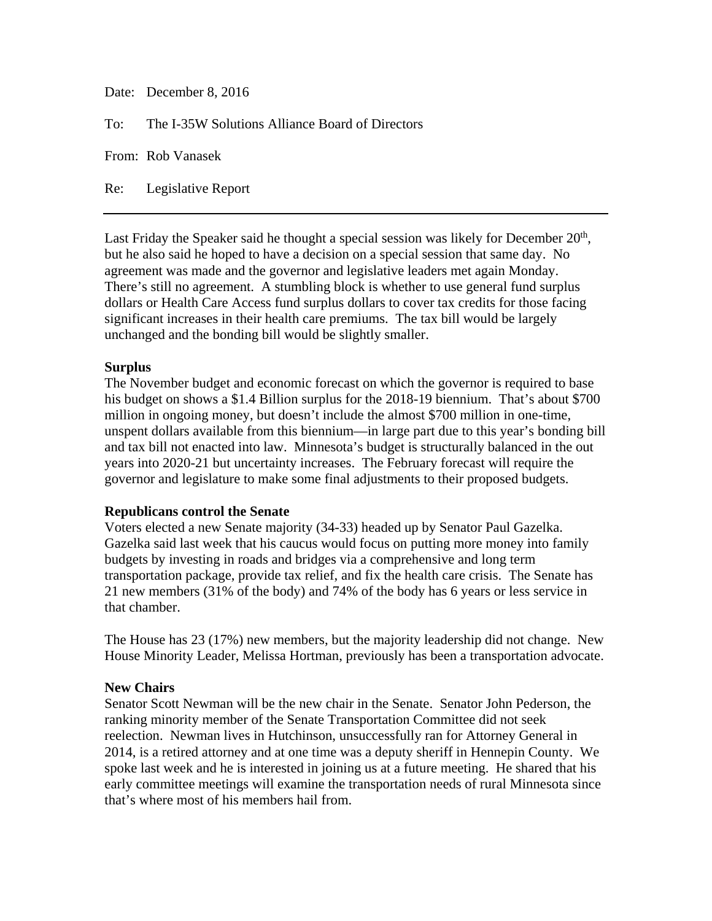| Date: December 8, 2016                              |
|-----------------------------------------------------|
| To: The I-35W Solutions Alliance Board of Directors |
| From: Rob Vanasek                                   |

Re: Legislative Report

Last Friday the Speaker said he thought a special session was likely for December  $20<sup>th</sup>$ , but he also said he hoped to have a decision on a special session that same day. No agreement was made and the governor and legislative leaders met again Monday. There's still no agreement. A stumbling block is whether to use general fund surplus dollars or Health Care Access fund surplus dollars to cover tax credits for those facing significant increases in their health care premiums. The tax bill would be largely unchanged and the bonding bill would be slightly smaller.

## **Surplus**

The November budget and economic forecast on which the governor is required to base his budget on shows a \$1.4 Billion surplus for the 2018-19 biennium. That's about \$700 million in ongoing money, but doesn't include the almost \$700 million in one-time, unspent dollars available from this biennium—in large part due to this year's bonding bill and tax bill not enacted into law. Minnesota's budget is structurally balanced in the out years into 2020-21 but uncertainty increases. The February forecast will require the governor and legislature to make some final adjustments to their proposed budgets.

## **Republicans control the Senate**

Voters elected a new Senate majority (34-33) headed up by Senator Paul Gazelka. Gazelka said last week that his caucus would focus on putting more money into family budgets by investing in roads and bridges via a comprehensive and long term transportation package, provide tax relief, and fix the health care crisis. The Senate has 21 new members (31% of the body) and 74% of the body has 6 years or less service in that chamber.

The House has 23 (17%) new members, but the majority leadership did not change. New House Minority Leader, Melissa Hortman, previously has been a transportation advocate.

## **New Chairs**

Senator Scott Newman will be the new chair in the Senate. Senator John Pederson, the ranking minority member of the Senate Transportation Committee did not seek reelection. Newman lives in Hutchinson, unsuccessfully ran for Attorney General in 2014, is a retired attorney and at one time was a deputy sheriff in Hennepin County. We spoke last week and he is interested in joining us at a future meeting. He shared that his early committee meetings will examine the transportation needs of rural Minnesota since that's where most of his members hail from.